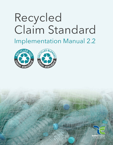# **Recycled Claim Standard**





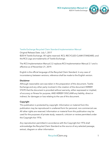

#### Textile Exchange Recycled Claim Standard Implementation Manual

Original Release Date: July 1, 2017 ©2014 Textile Exchange. All rights reserved. RCS, RECYCLED CLAIM STANDARD, and the RCS Logo are trademarks of Textile Exchange.

The RCS Implementation Manual 2.2 replaces RCS Implementation Manual 2.1 and is effective as of November 21, 2019.

English is the official language of the Recycled Claim Standard. In any case of inconsistency between versions, reference shall be made to the English version.

#### **Disclaimer**

Although reasonable care was taken in the preparation of this document, Textile Exchange and any other party involved in the creation of the document HEREBY STATE that the document is provided without warranty, either expressed or implied, of accuracy or fitness for purpose, AND HEREBY DISCLAIM any liability, direct or indirect, for damages or loss relating to the use of this document.

#### **Copyright**

This publication is protected by copyright. Information or material from this publication may be reproduced in unaltered form for personal, non-commercial use. All other rights are reserved. Information or material from this publication may be used for the purposes of private study, research, criticism or review permitted under the Copyright Act 1976.

Any reproduction permitted in accordance with the Copyright Act 1976 shall acknowledge the Recycled Claim Standard as the source of any selected passage, extract, diagram or other information.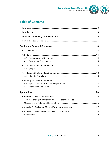

## **Table of Contents**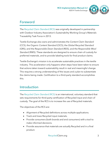

## Foreword

The *Recycled Claim Standard* (RCS) was originally developed in partnership with Outdoor Industry Association's Sustainability Working Group's Materials Traceability Task Force in 2013.

Textile Exchange also owns and administrates the *Content Claim Standard* (CCS), the *Organic Content Standard* (OCS), the *Global Recycled Standard* (GRS), and the *Responsible Down Standard* (RDS), and the *Responsible Wool Standard* (RWS). These standards are designed to ensure chain of custody for preferred materials, and to provide labeling tools for final product claims.

Textile Exchange's mission is to accelerate sustainable practices in the textile industry. This acceleration only happens when steps have been taken to ensure that actions taken toward sustainability result in real and meaningful change. This requires a strong understanding of the issues and a plan to substantiate the claims being made. Certification to a third-party standard accomplishes this.

## Introduction

The *Recycled Claim Standard* (RCS) is an international, voluntary standard that sets requirements for third-party certification of Recycled input and chain of custody. The goal of the RCS is to increase the use of Recycled materials.

The objectives of the RCS are:

- Alignment of Recycled definitions across multiple applications.
- Track and trace Recycled input materials.
- Provide consumers (both brands and end consumers) with a tool to make informed decisions.
- Provide assurance that materials are actually Recycled and in a final product.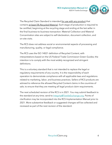

The Recycled Claim Standard is intended for use with any product that contains at least 5% Recycled Material. Each stage of production is required to be certified, beginning at the recycling stage and ending at the last seller in the final business-to-business transaction. Material Collection and Material Concentration sites are subject to self-declaration, document collection, and on-site visits.

The RCS does not address social or environmental aspects of processing and manufacturing, quality, or legal compliance.

The RCS uses the ISO 14021 definition of Recycled Content, with interpretations based on the US Federal Trade Commission Green Guides; the intention is to comply with the most widely recognized and stringent definitions.

This is a voluntary standard that is not intended to replace the legal or regulatory requirements of any country. It is the responsibility of each operation to demonstrate compliance with all applicable laws and regulations related to marketing, labor, and business practices. Sellers of RCS products are advised to reference the allowed Recycled Content claims in the countries of sale, to ensure that they are meeting all legal product claim requirements.

The next scheduled revision of the RCS is in 2021. You may submit feedback to the standard at any time; send to Integrity@TextileExchange.org. Points of clarification may be incorporated into the RCS Implementation Manual prior to 2021. More substantive feedback or suggested changes will be collected and reviewed as part of the next revision of the standard.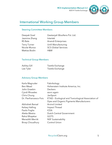

## International Working Group Members

## Steering Committee Members

| Deepak Goel   |  |  |  |  |  |
|---------------|--|--|--|--|--|
| Jasmine Zhang |  |  |  |  |  |
| RS Bala       |  |  |  |  |  |
| Terry Turner  |  |  |  |  |  |
| Nicole Munoz  |  |  |  |  |  |
| Mattias Bodin |  |  |  |  |  |

Geetanjali Woollens Pvt. Ltd. **Intertek** Anandi Enterprises Unifi Manufacturing SCS Global Services H&M

## Technical Group Members

| Ashley Gill | Textile Exchange |
|-------------|------------------|
| Lee Tyler   | Textile Exchange |

## Advisory Group Members

| Karla Magruder         | Fabrikology                                        |  |  |
|------------------------|----------------------------------------------------|--|--|
| Ben Mead               | Hohenstein Institute America, Inc.                 |  |  |
| John Graebin           | Deckers                                            |  |  |
| Cyndi Rhoades          | worn again                                         |  |  |
| Chris Chung            | JanSport                                           |  |  |
| Dr. Pierfrancesco Fois | ETAD - Ecological and Toxicological Association of |  |  |
|                        | Dyes and Organic Pigments Manufacturers            |  |  |
| Abhishek Bansal        | <b>Arvind Limited</b>                              |  |  |
| Kelsey Halling         | Impact Thread                                      |  |  |
| Paolo Foglia           | <b>ICEA</b>                                        |  |  |
| Aletta Westra          | <b>Dutch Central Government</b>                    |  |  |
| Rahul Bhajekar         | <b>GOTS</b>                                        |  |  |
| Meredith Merritt       | <b>NSF Sustainability</b>                          |  |  |
| Binay Choudhury        | <b>Control Union</b>                               |  |  |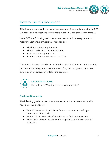

## How to use this Document

This document sets forth the overall requirements for compliance with the RCS. Guidance and clarifications are available in the *RCS Implementation Manual*.

In the RCS, the following verbal forms are used to indicate requirements, recommendations, permissions, or capabilities:

- "shall" indicates a requirement
- "should" indicates a recommendation
- "may" indicates a permission
- "can" indicates a possibility or capability

"Desired Outcomes" have been included to detail the intent of requirements, but they are not requirements themselves. They are designated by an icon before each module, see the following example:



#### DESIRED OUTCOME*:*

Example text. Why does this requirement exist?

#### Guidance Documents

The following guidance documents were used in the development and/or revision of this standard:

- ISO/IEC Directives, Part 2: Rules for the structure and drafting of International Standards
- ISO/IEC Guide 59: Code of Good Practice for Standardization
- ISEAL Code of Good Practice for Setting Social and Environmental **Standards**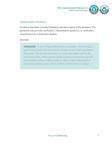

## Implementation Guidance

Guidance has been included following selected criteria of the standard. The guidance may provide clarification, interpretation guidance, or verification requirements for Certification Bodies.

#### Example:

*GUIDANCE: Proof of "legal authorization to operate" is for example, a government-issued business license number or non-profit registration document. This ensures that there is a valid organization behind the declaration form, and to give an added measure of protection against the possible trading of stolen products. Where legal authorization is required to process waste, there shall be proof that this is in place.*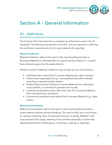

## Section A – General Information

## A1 – Definitions

The Content Claim Standard has a complete set of the terms used in the TE standards. The following are specific to the RCS, and are important in defining the verification requirements for the input materials for recycling:

## **Material Collection**

Material Collection refers to the point in the recycling lifecycle when a Reclaimed Material is collected after its original use has ended (i.e.: it would have otherwise gone into the waste stream).

Entities involved in Material Collection may include, but are not limited to:

- Individuals who collect Post-Consumer Materials for sale to brokers
- Government organizations (e.g.: municipalities) that offer curbside recycling or operate transfer stations
- Brokers that purchase Pre/Post-Consumer Material from individuals, municipalities, or commercial operations for re-sale
- Commercial operations that collect their own Pre-Consumer Material from manufacturing operations
- Commercial operations that collect Post-Consumer Material (e.g.: retail stores)

## **Material Concentration**

Material Concentration refers to the point in the recycling lifecycle when a waste material receives primary handling. This may include, but is not limited to, sorting, screening, basic contaminant removal, or baling. Material is still unprocessed at this stage, meaning it has not been physically or chemically altered beyond basic handling (e.g.: screening, crushing, or washing).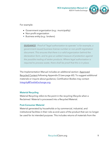

For example:

- Government organization (e.g.: municipality)
- Non-profit organization
- Business entity (e.g.: brokers)

*GUIDANCE: Proof of "legal authorization to operate" is for example, a government-issued business license number or non-profit registration document. This ensures that there is a valid organization behind the declaration form, and to give an added measure of protection against the possible trading of stolen products. Where legal authorization is required to process waste, there shall be proof that this is in place.*

The Implementation Manual includes an additional section: Approved Recycled Content following Appendix D (see page 60). To suggest additional materials or inquire about guidance, Certification Bodies may contact Integrity@TextileExchange.org.

## **Material Recycling**

Material Recycling refers to the point in the recycling lifecycle when a Reclaimed Material is processed into a Recycled Material.

## **Post-Consumer Material**

Material generated by households or by commercial, industrial, and institutional facilities in their role as end-users of the product that can no longer be used for its intended purpose. This includes returns of materials from the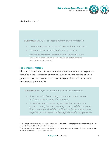

#### distribution chain.<sup>1</sup>

*GUIDANCE: Examples of accepted Post-Consumer Material:*

- *Down from a previously owned down jacket or comforter.*
- *Garments collected and shredded into raw fiber.*
- *Reclaimed Materials collected from products that were returned without being used should be categorized as Pre-Consumer Material.*

## **Pre-Consumer Material**

 $\overline{a}$ 

Material diverted from the waste stream during the manufacturing process. Excluded is the reutilization of materials such as rework, regrind or scrap generated in a process and capable of being reclaimed within the same process that generated it.2

*GUIDANCE: Examples of accepted Pre-Consumer Material:*

- *A vertical mill collects cutting room waste, shreds the fabric, and respins the resulting fiber into yarn.*
- *A manufacturer produces carpet fibers from an extrusion process. During the manufacturing process, a defective carpet fiber is extruded. The defective fiber is collected, melted down, re-pelletized, and reused in the original manufacturing process*

<sup>1</sup> This excerpt is taken from ISO 14021:1999, section 7.8.1.1, subsection a.2 on page 14, with the permission of ANSI on behalf of ISO. © ISO 2013 – All rights reserved.

<sup>&</sup>lt;sup>2</sup> This excerpt is taken from ISO 14021:1999, section 7.8.1.1, subsection a.1 on page 14, with the permission of ANSI on behalf of ISO. © ISO 2013 – All rights reserved.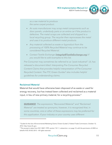©2014 Textile Exchange



*as a raw material to produce the same carpet product.*

- *An auto manufacturer may scrap metal components such as door panels, underbody parts or an entire car if the product is defective. The metal scraps are collected and shipped to a local recycling group. The recycler then reprocesses the metal and uses it to produce different metal products.*
- *Any material collected as waste or byproduct from the processing of 100% Recycled Material may continue to be considered Recycled Material.*
- *Contact Textile Exchange (Integrity@TextileExchange.org) if you would like to add examples to this list.*

*Pre-Consumer may sometimes be referred to as "post-industrial". UL has released a document titled: Interpreting Pre-Consumer Recycled Content Claims that provides helpful interpretation of Pre-Consumer Recycled Content. The FTC Green Guides*<sup>3</sup> also *includes helpful guidelines for understanding claims.*

#### **Reclaimed Material**

I

Material that would have otherwise been disposed of as waste or used for energy recovery, but has instead been collected and reclaimed as a material input, in lieu of new primary material, for a recycling process. 4

*GUIDANCE: The expressions "Recovered Material" and "Reclaimed Material" are treated as synonyms; however, it is recognized that, in some countries, one or other of these expressions may be preferred for this application. If your industry or your country uses different* 

<sup>&</sup>lt;sup>3</sup> Guides for the Use of Environmental Marketing Claims ("Green Guides"); Federal Trade Commission; October 12, 2012. http://www.ftc.gov.

<sup>4</sup> This excerpt is taken from ISO 14021:1999, section 7.8.1.1, subsection c on page 14, with the permission of ANSI on behalf of ISO. © ISO 2013 – All rights reserved.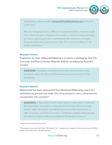

*terminology, please contact Integrity@TextileExchange.org for further clarification.*

*We also recognize that it is difficult to substantiate that a material would have 'otherwise been disposed of as waste or used for energy recovery', as once a recycling process is established, the material is no longer being directed into a waste stream. See "Pre-Consumer Material" for further clarification.*

#### **Recycled Content**

Proportion, by mass, of Recycled Material in products or packaging. Only Pre-Consumer and Post-Consumer Materials shall be considered as Recycled Content.

*GUIDANCE: Packaging is exempted from the requirements of the standard, unless the Recycled Material being claimed is part of the packaging.*

## **Recycled Material**

 $\overline{a}$ 

Material that has been reprocessed from Reclaimed Material by means of a manufacturing process and made into a final product or into a component for incorporation into a product.<sup>5</sup>

*GUIDANCE: A Recycled Content claim may be made only for materials that have been recovered or otherwise diverted from the solid waste stream, either during the manufacturing process (Pre-Consumer), or after consumer use (Post-Consumer). Certification Bodies shall evaluate all materials listed on Reclaimed Material Declaration Forms or* 

<sup>5</sup> This excerpt is taken from ISO 14021:1999, section 7.8.1.1, subsection b on page 14, with the permission of ANSI on behalf of ISO. © ISO 2013 – All rights reserved.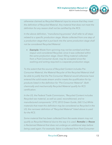

*otherwise claimed as Recycled Material input to ensure that they meet the definition of Recycled Material. Any material that does not meet the definition for any reason shall not be certified by the RCS.*

*In the above definition, "manufacturing process" shall refer to all steps related to a specific production stage. Waste collected from one step of a production stage that is put back into the same production stage shall not be considered Recycled Material.* 

• *Example: Waste from spinning may not be combed and then respun and considered Recycled, since it was collected within the same production stage. Down filling material collected from a Post-Consumer duvet, may be accepted since the washing and sorting required is a separate production stage.*

*To the extent that the source of Recycled Content includes Pre-Consumer Material, the Material Recycler of the Recycled Material shall be able to justify that the Pre-Consumer Material would otherwise have entered the solid waste stream and/or meets the qualification for byproducts listed in the definition for "Pre-Consumer Material". Both chemically and mechanically Recycled Material qualify for RCS certification.*

*In the US, the Federal Trade Commission, "Recycled Content includes Recycled raw material, as well as used, reconditioned, and remanufactured components." (FTC 2012 Green Guide, 260.13.a) While materials that meet this definition may be considered as Recycled in the US, the narrower definition of "Recycled Material" listed above is used for the RCS.* 

*Some material that has been collected from the waste stream may not qualify as Recycled Material due to the way it is used. Remake or Reuse is Reclaimed Material that does not undergo an additional step before being used again. For example, fabric is collected from Post-Consumer*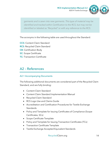

*garments and is sewn into new garments. This type of material may be identified and tracked within Certification to the RCS, but may not be identified or labeled as "Recycled" or with any reference to the RCS.*

The acronyms in the following table are used throughout the Standard:

- **CCS:** Content Claim Standard
- **RCS:** Recycled Claim Standard
- **CB:** Certification Body
- **SC:** Scope Certificate
- **TC:** Transaction Certificate

## A2 – References

## A2.1 Accompanying Documents

The following additional documents are considered part of the Recycled Claim Standard, and are fully binding:

- Content Claim Standard
- Content Claim Standard Implementation Manual
- Recycled Claim Standard
- RCS Logo Use and Claims Guide
- Accreditation and Certification Procedures for Textile Exchange Standards
- Policy and Template for Issuing Certificates of Compliance (Scope Certificates, SCs)
- Scope Certificate Template
- Policy and Template for Issuing Transaction Certificates (TCs)
- Transaction Certificate Template
- Textile Exchange Accepted Equivalent Standards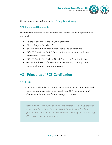

All documents can be found at http://Recycledclaim.org.

## A2.2 Referenced Documents

The following referenced documents were used in the development of this standard:

- Textile Exchange Recycled Claim Standard
- Global Recycle Standard 2.1
- ISO 14021:1999: Environmental labels and declarations
- ISO/IEC Directives, Part 2: Rules for the structure and drafting of International Standards
- ISO/IEC Guide 59: Code of Good Practice for Standardization
- Guides for the Use of Environmental Marketing Claims ("Green Guides"); Federal Trade Commission

## A3 – Principles of RCS Certification

## A3.1 Scope

A3.1a The Standard applies to products that contain 5% or more Recycled Content. Some exceptions may apply, see *TE Accreditation and Certification Procedures* for the derogation process.

*GUIDANCE: When 100% of a Reclaimed Material in an RCS product is recycled, but is lower than the 5% minimum in overall volume percentage – then the RCS can still be used to certify the product (e.g. 2% recycled elastane/spandex).*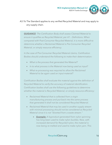

## A3.1b The Standard applies to any verified Recycled Material and may apply to any supply chain.

*GUIDANCE: The Certification Body shall assess Claimed Material to ensure it qualifies as Recycled Material, per A1 – Definitions. When compared with Post-Consumer Recycled Material, it is more difficult to determine whether a Reclaimed Material is Pre-Consumer Recycled Material, or simply resource efficiency.* 

*In the case of Pre-Consumer Recycled Material claims, Certification Bodies should understand the following to make their determination:*

- *What is the process that generated the Material?*
- *In to what process is the Material now being used as input?*
- *What re-processing was required to allow the Reclaimed Material to be again used an input material?*

*Certification Bodies shall evaluate the material against the definition of Recycled Material to verify the accuracy of material identification. Certification bodies shall use the following guidelines to determine whether the material is Recycled Material, or simply resource efficiency:*

- *Reclaimed Material that is collected from a virgin manufacturing process and put back into the same process that generated it shall not be considered Recycled Material.*
- *Reclaimed Material that may be used in another supply stream with minimal processing should not be considered as Recycled Material since it is not "diverted from a waste stream."*
	- *Example: A byproduct generated from nylon spinning has long been used to make nylon buckles. Now, with increased demand for Recycled nylon, the material is now being re-melted and used to make nylon yarn. This*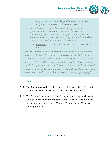

*may not be considered Recycled Material since it is not truly being diverted from the waste stream.*

- *Check the waste rates of the manufacturing process that generated the Reclaimed Material. If the waste rate is higher than industry averages, it may be a sign that the Reclaimed Material has been produced intentionally, and would therefore not qualify as Pre-Consumer Recycled Material.*
	- *Example: A spinning mill should not have a 50% waste rate.*

In the case that the auditor or certifier is unsure of whether a material *qualifies as Recycled Material, they should contact Textile Exchange for a determination. Textile Exchange will consult with industry experts for decision-making in difficult cases, and will keep a log of past decisions. Certified Organizations and Certification Bodies are both free to appeal a decision of Textile Exchange; please read the TE Standards Complaint Procedures, available online: http://TextileExchange.org/Integrity/.*

## A3.2 Scope

- A3.2a The Standard provides verification of chain of custody for Recycled Material, in accordance with the Content Claim Standard.
- A3.2b The Standard includes consumer-facing labeling; only products that have been certified up to the seller in the last business-to-business transaction are eligible. See *RCS Logo Use and Claims Guide* for labeling guidelines.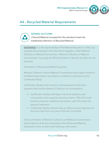

## A4 – Recycled Material Requirements



#### DESIRED OUTCOME:

Claimed Material accepted for the standard meets the established definition of Recycled Material.

*GUIDANCE: It is the responsibility of the Material Recycler to collect any required documentation from their direct suppliers, either Material Collector or Material Concentrator. Material Collectors or Material Concentrators may apply for RCS certification if desired, but they are not required.* 

*Verification of Reclaimed Material Suppliers*

*Material Collectors and/or Material Concentrators that supply directly to Certified Organizations are subject to additional verification by the Certification Body.*

*Certification Bodies shall conduct a risk assessment of all direct suppliers that conduct Material Collection or Concentration.*

- *Certification bodies shall keep a list of all collectors and concentrators that supply to recycling clients. 10% of this total shall be chosen for additional verification, with 2% chosen for physical inspection.*
- *Certification Bodies should make an effort to avoid inspection of the same sites from one year to the next, if possible.*

*Direct verification of Material Collectors and Material Concentrators should seek to verify the authenticity of the Reclaimed Material Declaration Form as well as the following information:*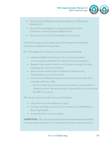

- *That all Claimed Material meets the definition of Reclaimed Material (A1).*
- *That all Claimed Material is properly identified as Pre-Consumer or Post-Consumer Material (A1).*
- *That the source of all Claimed Material is reviewed.*

*Textile Exchange will not collect fees from inspections of Material Collectors or Material Concentrators.*

*The 10% additional verification could include the following:*

- *Additional Material Declaration Form review remotely in communication with Material Collectors and Concentrators.*
- *Research the supplier online to verify they are a legal business supplying the reclaimed material.*
- *Communicate directly with the Material Collectors and Concentrators (e.g. email, phone).*
- *On-site visit of Material Collectors and Concentrators (the 2% is included within the 10%).*
	- o *Ask for a basic tour of operations, interview for confirmation of material sources. We are looking for reasonable confirmation that the MDF is accurate.*

*Risk factors should include, but are not limited to* 

- *Use of Pre-Consumer Material as input*
- *Facilities with high volumes of input material into GRS Material Recycling facilities*
- *Inconsistencies in documentation.*

*EXEMPTION: CBs may exempt government owned/operated collector or concentrator entities (i.e. municipality) or donation-only collector or*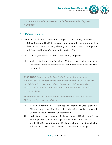

*concentrator from the requirement of Reclaimed Materials Supplier Agreement.*

#### A4.1 Material Recycling

A4.1a Entities involved in Material Recycling (as defined in A1) are subject to RCS certification. The RCS requires compliance with the requirements of the Content Claim Standard, whereby the 'Claimed Material' is replaced with 'Recycled Material' as defined in section A1.

A4.1b In addition, entities involved in Material Recycling shall:

i. Verify that all sources of Reclaimed Material have legal authorization to operate for the relevant function, and hold copies of the relevant documents.

*GUIDANCE: Prior to the initial audit, the Material Recycler should submit a list of all sources of Reclaimed Material to their CB. This allows the CBs time to verify legal authorization of the entities involved in Material Collection and Concentration to operate as well as to assess any areas of risk.* 

*The reference to "all sources of Reclaimed Material" does not include Material Collection from individuals.* 

- ii. Hold valid Reclaimed Material Supplier Agreements (see Appendix B) for all suppliers of Reclaimed Material (entities involved in Material Collection and/or Material Concentration).
- iii. Collect and retain completed Reclaimed Material Declaration Forms (see Appendix C) from their suppliers for all Reclaimed Material inputs. The Reclaimed Material Declaration Forms shall be collected at least annually or if the Reclaimed Material source changes.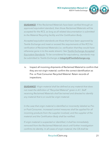

*GUIDANCE: If the Reclaimed Materials have been verified through an approved equivalent standard, then those Reclaimed Materials will be accepted for the RCS, as long as all related documentation is submitted to the Material Recycling facility and the Certification Body.*

*Accepted equivalent standards are those that have been approved by Textile Exchange and meet or exceed the requirements of the RCS for verification of Reclaimed Materials (i.e. verification that they would have otherwise gone in to the waste stream). See Textile Exchange Accepted Equivalent Standards. To be considered for equivalency, standards may be submitted to Textile Exchange at Integrity@TextileExhange.org.*

iv. Inspect all incoming shipments of Reclaimed Material to confirm that they are not virgin material; confirm the correct identification as Pre- or Post-Consumer Recycled Material. Retain records of inspections.

*GUIDANCE: Virgin material shall be defined as any material that does not meet the definition of "Recycled Material" given in A1. Staff receiving Reclaimed Materials shall be trained and directed to identify any material that is or could be virgin material.* 

*In the case that virgin material is identified or incorrectly labeled as Preor Post-Consumer, increased control measures shall be applied for all incoming products from the supplier involved, and the supplier of the material and the Certification Body shall be notified.* 

*If virgin material is suspected or identified, it shall be immediately removed from the Reclaimed Materials stock until further investigation confirms its identity. In all cases of virgin material, the CB shall be*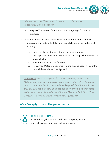

*informed, and it will be at their discretion to conduct further investigation with the supplier.*

- v. Request Transaction Certificates for all outgoing RCS certified products.
- A4.1c Material Recyclers who collect Reclaimed Material from their own processing shall retain the following records to verify their volume of recycling:
	- i. Records of all materials entering the recycling process.
	- ii. Description of Reclaimed Material and the stage where the waste was collected.
	- iii. Any other relevant transfer notes.
	- iv. Reclaimed Material Declaration Forms may be used in lieu of the records listed above (see Appendix C).

*GUIDANCE: Material Recyclers that process and recycle Reclaimed Material from their own processes may present higher risk for fraudulent or inaccurate identification of material as Recycled. Certification Bodies shall evaluate the material against the definition of Recycled Material to verify the accuracy of material identification. (See A1 – Definitions "Pre-Consumer Recycled Material" for additional guidance).*

## A5 – Supply Chain Requirements



#### DESIRED OUTCOME:

Claimed Recycled Material follows a complete, verified chain of custody from input to final product.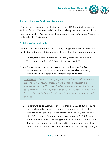

## A5.1 Application of Production Requirements

Organizations involved in production and trade of RCS products are subject to RCS certification. The Recycled Claim Standard requires compliance with the requirements of the Content Claim Standard, whereby the 'Claimed Material' is replaced with 'RCS Material'.

## A5.2 Production and Trade

In addition to the requirements of the CCS, all organizations involved in the production or trade of RCS products shall meet the following requirements:

- A5.2a All Recycled Materials entering the supply chain shall have a valid Transaction Certificate (TC) issued by an approved CB.
- A5.2b Pre-Consumer and Post-Consumer Recycled Material Content percentage shall be recorded separately for each batch at every certified site and recorded on the transaction certificate.

*GUIDANCE: While the labeling requirements of the RCS do not require pre- and Post-Consumer amounts to be identified separately (in accordance with the FTC Green Guides), it is often not possible for the companies involved in the production of RCS products to know how the final product will be labeled, or if they will want the information for their own use.*

A5.2c Traders with an annual turnover of less than \$10,000 of RCS products, and retailers selling to end consumers only, are exempt from the certification obligation; provided that they do not (re-) pack or (re-) label RCS products. Exempted traders with less than \$10,000 annual turnover of RCS products shall register with an approved Certification Body and shall inform the Certification Body immediately once their annual turnover exceeds \$10,000, or once they plan to (re-) pack or (re-)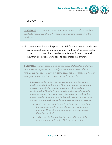

label RCS products.

*GUIDANCE: A trader is any entity that takes ownership of the certified products, regardless of whether they take physical possession of the products.*

A5.2d In cases where there is the possibility of differential rates of production loss between Recycled and virgin inputs, Certified Organizations shall address this through their mass balance formula for each material to show that calculations were done to account for the differences.

*GUIDANCE: In most cases the percentage loss of Recycled and virgin inputs will be very close, and no adjustments to the mass balance formula are needed. However, in some cases the loss rates are different enough to impact the final content claims, for example:*

- *If Recycled cotton is being used as an input, and the staple length is shorter than the virgin fiber, then during the combing process it is likely that most of the shorter fibers that are combed out will be the Recycled cotton. This would mean that the percentage of Recycled fiber in the output is less than the amount used in the input, and for low ratio claims, this can lead to inaccurate product claims. To address this, companies shall:*
	- *Add more Recycled fiber to their inputs, to account for the expected loss (e.g.: use 55kg of Recycled cotton fiber and 45 kg of virgin cotton fiber to create a 50% Recycled yarn), OR*
	- *Adjust the final amount being claimed to reflect the actual amount of Recycled Material in the output.*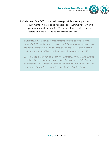

A5.2e Buyers of the RCS product will be responsible to set any further requirements on the specific standards or requirements to which the input material shall be certified. These additional requirements are separate from the RCS and its certification process.

*GUIDANCE: Any additional requirements set by a buyer do not fall under the RCS certification. However, it might be advantageous to have the additional requirements checked during the RCS audit process. All such arrangements will be strictly between the buyer and the CB.*

*Some brands might wish to identify the original source material prior to recycling. This is outside the scope of certification to the RCS, but may be added to the Transaction Certificates if requested by the brand. The arrangements should be made through the Certification Body.*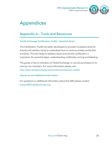

# Appendices

## Appendix A – Tools and Resources

## Textile Exchange Certification Toolkit - Essential Series

The *Certification Toolkit* has been developed to provide increased clarity for brands and retailers trying to understand how to most accurately certify their products. This tool helps to address issues around why certification is important, the essential steps, understanding certificates, pricing and labeling.

The guide is free to members of Textile Exchange, or can be purchased on its own by non-members. For more information please visit http://www.textileexchange.org/content/certification-toolkit.

## Questions and Additional Information

For questions or additional information about the GRS please contact: Integrity@TextileExchange.org.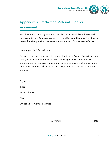

## Appendix B – Reclaimed Material Supplier Agreement

This document acts as a guarantee that all of the materials listed below and being sold to [*Certified Organization]* \_\_\_\_ are Reclaimed Materials\* that would have otherwise gone into the waste stream. It is valid for one year, effective

*\* see Appendix C for definitions* 

\_\_\_\_\_\_\_\_\_\_\_\_\_\_\_\_\_\_\_.

By signing this document, we give permission to *[Certification Body]* to visit our facility with a minimum notice of 3 days. The inspection will relate only to verification of our status as a legal organization and to confirm the description of materials as Recycled, including the designation of pre- or Post-Consumer streams.

Signed by:

Title:

Email Address:

Phone:

On behalf of: (*Company name*)

 $(Signature)$   $\qquad \qquad \qquad \qquad (Date)$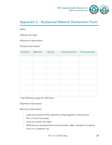

## Appendix C – Reclaimed Material Declaration Form:

Seller:

Address of origin:

Address of destination:

Product Information:

| Product* | Material | Source | Post-Consumer | <b>Pre-Consumer</b> |
|----------|----------|--------|---------------|---------------------|
|          |          |        |               |                     |
|          |          |        |               |                     |
|          |          |        |               |                     |
|          |          |        |               |                     |
|          |          |        |               |                     |
|          |          |        |               |                     |
|          |          |        |               |                     |

*\* see following page for definitions* 

Shipment information:

Minimum Information:

- Units and names of the materials as they appear on the invoice
- Pre- or Post-Consumer
- Invoice number and date
- Reference to transport document (number, date, transport company, truck no, container no)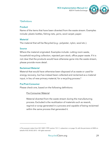

## \*Definitions

## **Product**

Name of the items that have been diverted from the waste stream. Examples include: plastic bottles, fishing nets, yarns, wool carpet, paper.

#### **Material**

The material that will be Recycled (e.g.: polyester, nylon, wool etc.).

#### **Source**

Where the material originated. Examples include: cutting room waste, household recycling collection, rejected yarn stock, office paper waste. If it is not clear that the products would have otherwise gone into the waste stream, please provide more detail.

## **Reclaimed Material**

Material that would have otherwise been disposed of as waste or used for energy recovery, but has instead been collected and reclaimed as a material input, in lieu of new primary material, for a recycling process.<sup>6</sup>

## **Pre/Post-Consumer**

 $\overline{a}$ 

Please check one, based on the following definitions:

## Pre-Consumer Material

Material diverted from the waste stream during the manufacturing process. Excluded is the reutilization of materials such as rework, regrind or scrap generated in a process and capable of being reclaimed within the same process that generated it.

<sup>6</sup> This excerpt is taken from ISO 14021:1999, section 7.8.1.1, subsection c on page 14, with the permission of ANSI on behalf of ISO. © ISO 2013 – All rights reserved.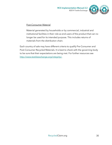

## Post-Consumer Material

Material generated by households or by commercial, industrial and institutional facilities in their role as end-users of the product that can no longer be used for its intended purpose. This includes returns of materials from the distribution chain.

Each country of sale may have different criteria to qualify Pre-Consumer and Post-Consumer Recycled Materials. It is best to check with the governing body to be sure that their expectations are being met. For further resources see http://www.textileexchange.org/integrity/.